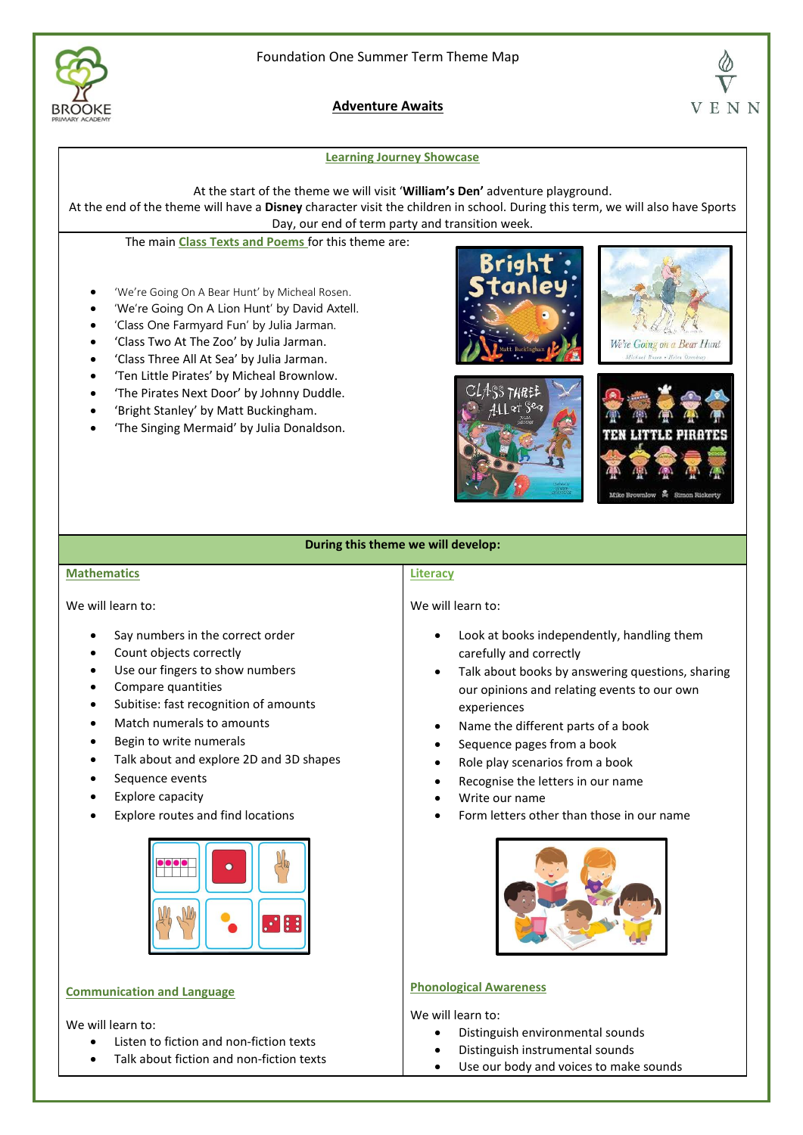

**Adventure Awaits**

## **Learning Journey Showcase**

At the start of the theme we will visit '**William's Den'** adventure playground.

At the end of the theme will have a **Disney** character visit the children in school. During this term, we will also have Sports Day, our end of term party and transition week.

The main **Class Texts and Poems** for this theme are:

- 'We're Going On A Bear Hunt' by Micheal Rosen.
- 'We're Going On A Lion Hunt' by David Axtell.
- 'Class One Farmyard Fun' by Julia Jarman.
- 'Class Two At The Zoo' by Julia Jarman.
- 'Class Three All At Sea' by Julia Jarman.
- 'Ten Little Pirates' by Micheal Brownlow.
- 'The Pirates Next Door' by Johnny Duddle.
- 'Bright Stanley' by Matt Buckingham.
- 'The Singing Mermaid' by Julia Donaldson.









# **During this theme we will develop:**

### **Mathematics**

We will learn to:

- Say numbers in the correct order
- Count objects correctly
- Use our fingers to show numbers
- Compare quantities
- Subitise: fast recognition of amounts
- Match numerals to amounts
- Begin to write numerals
- Talk about and explore 2D and 3D shapes
- Sequence events
- Explore capacity
- Explore routes and find locations



# **Communication and Language**

We will learn to:

- Listen to fiction and non-fiction texts
- Talk about fiction and non-fiction texts

#### **Literacy**

We will learn to:

- Look at books independently, handling them carefully and correctly
- Talk about books by answering questions, sharing our opinions and relating events to our own experiences
- Name the different parts of a book
- Sequence pages from a book
- Role play scenarios from a book
- Recognise the letters in our name
- Write our name
- Form letters other than those in our name



## **Phonological Awareness**

We will learn to:

- Distinguish environmental sounds
- Distinguish instrumental sounds
- Use our body and voices to make sounds

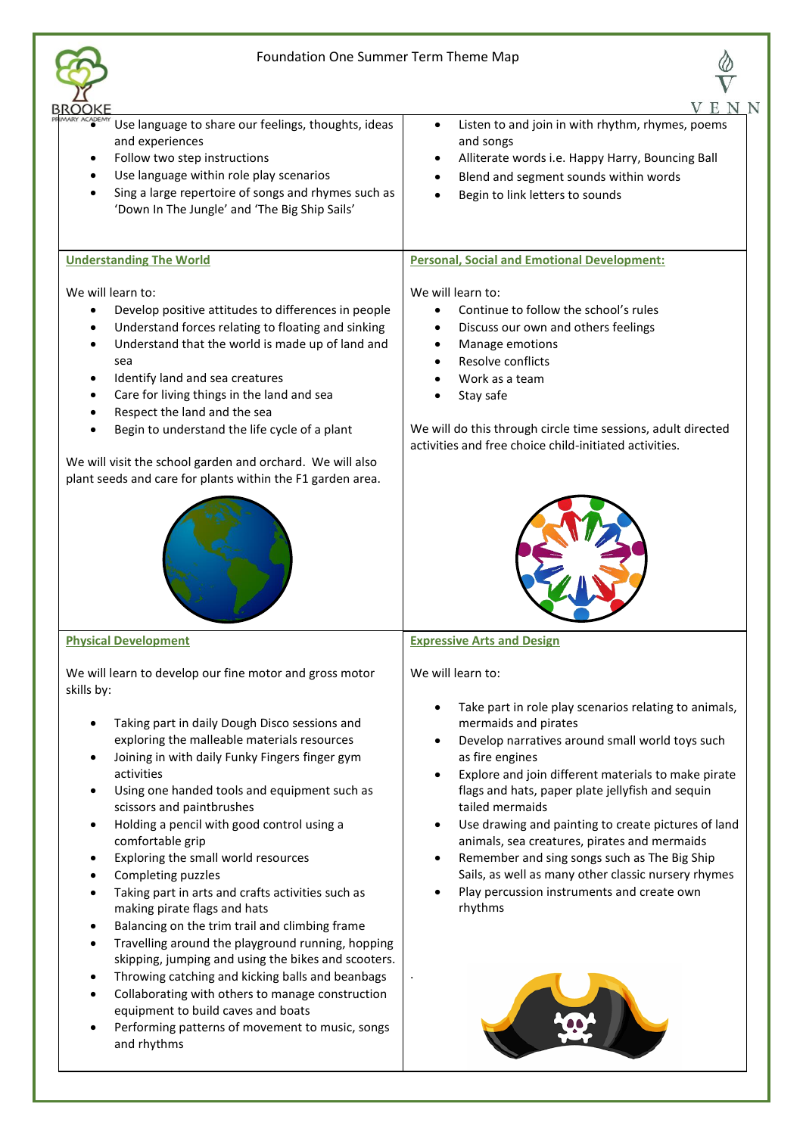# Foundation One Summer Term Theme Map